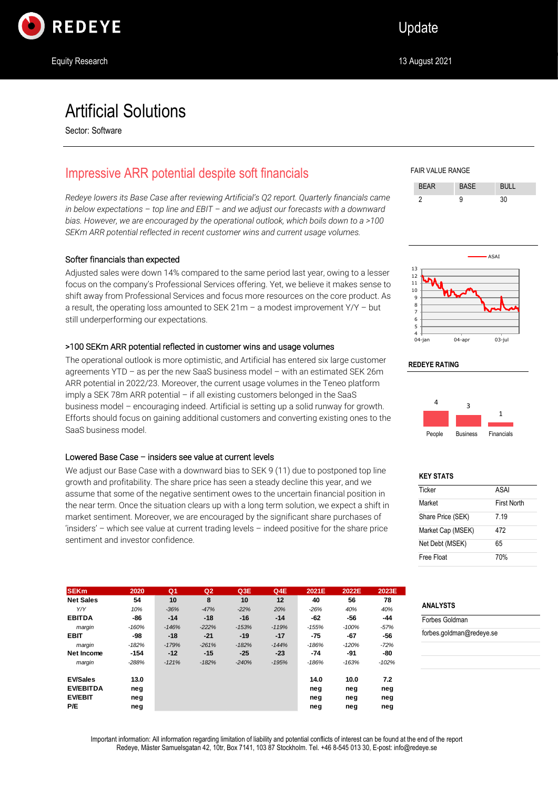

# Artificial Solutions

Sector: Software

# Impressive ARR potential despite soft financials

*Redeye lowers its Base Case after reviewing Artificial's Q2 report. Quarterly financials came in below expectations – top line and EBIT – and we adjust our forecasts with a downward bias. However, we are encouraged by the operational outlook, which boils down to a >100 SEKm ARR potential reflected in recent customer wins and current usage volumes.*

### Softer financials than expected

Adjusted sales were down 14% compared to the same period last year, owing to a lesser focus on the company's Professional Services offering. Yet, we believe it makes sense to shift away from Professional Services and focus more resources on the core product. As a result, the operating loss amounted to SEK 21m – a modest improvement  $Y/Y -$  but still underperforming our expectations.

### >100 SEKm ARR potential reflected in customer wins and usage volumes

The operational outlook is more optimistic, and Artificial has entered six large customer agreements YTD – as per the new SaaS business model – with an estimated SEK 26m ARR potential in 2022/23. Moreover, the current usage volumes in the Teneo platform imply a SEK 78m ARR potential – if all existing customers belonged in the SaaS business model – encouraging indeed. Artificial is setting up a solid runway for growth. Efforts should focus on gaining additional customers and converting existing ones to the SaaS business model.

### Lowered Base Case – insiders see value at current levels

We adjust our Base Case with a downward bias to SEK 9 (11) due to postponed top line growth and profitability. The share price has seen a steady decline this year, and we assume that some of the negative sentiment owes to the uncertain financial position in the near term. Once the situation clears up with a long term solution, we expect a shift in market sentiment. Moreover, we are encouraged by the significant share purchases of 'insiders' – which see value at current trading levels – indeed positive for the share price sentiment and investor confidence.

| <b>SEKm</b>      | 2020    | Q <sub>1</sub> | Q <sub>2</sub> | Q3E     | Q4E               | 2021E   | 2022E   | 2023E   |
|------------------|---------|----------------|----------------|---------|-------------------|---------|---------|---------|
| <b>Net Sales</b> | 54      | 10             | 8              | 10      | $12 \overline{ }$ | 40      | 56      | 78      |
| Y/Y              | 10%     | $-36%$         | $-47%$         | $-22%$  | 20%               | $-26%$  | 40%     | 40%     |
| <b>EBITDA</b>    | -86     | $-14$          | $-18$          | $-16$   | $-14$             | -62     | -56     | -44     |
| margin           | $-160%$ | $-146%$        | $-222%$        | $-153%$ | $-119%$           | $-155%$ | $-100%$ | $-57%$  |
| <b>EBIT</b>      | -98     | $-18$          | -21            | $-19$   | $-17$             | -75     | -67     | -56     |
| margin           | $-182%$ | $-179%$        | $-261%$        | $-182%$ | $-144%$           | $-186%$ | $-120%$ | $-72%$  |
| Net Income       | -154    | $-12$          | $-15$          | -25     | -23               | $-74$   | -91     | -80     |
| margin           | $-288%$ | $-121%$        | $-182%$        | $-240%$ | $-195%$           | $-186%$ | $-163%$ | $-102%$ |
| <b>EV/Sales</b>  | 13.0    |                |                |         |                   | 14.0    | 10.0    | 7.2     |
| <b>EV/EBITDA</b> | neg     |                |                |         |                   | neg     | neg     | neg     |
| <b>EV/EBIT</b>   | neg     |                |                |         |                   | neg     | neg     | neg     |
| P/E              | neg     |                |                |         |                   | neg     | neg     | neg     |

FAIR VALUE RANGE





#### **REDEYE RATING**



### **KEY STATS**

| Ticker            | ASAI               |
|-------------------|--------------------|
| Market            | <b>First North</b> |
| Share Price (SEK) | 7 19               |
| Market Cap (MSEK) | 472                |
| Net Debt (MSEK)   | 65                 |
| Free Float        | 70%                |

### **ANALYSTS**

Forbes Goldman forbes.goldman@redeye.se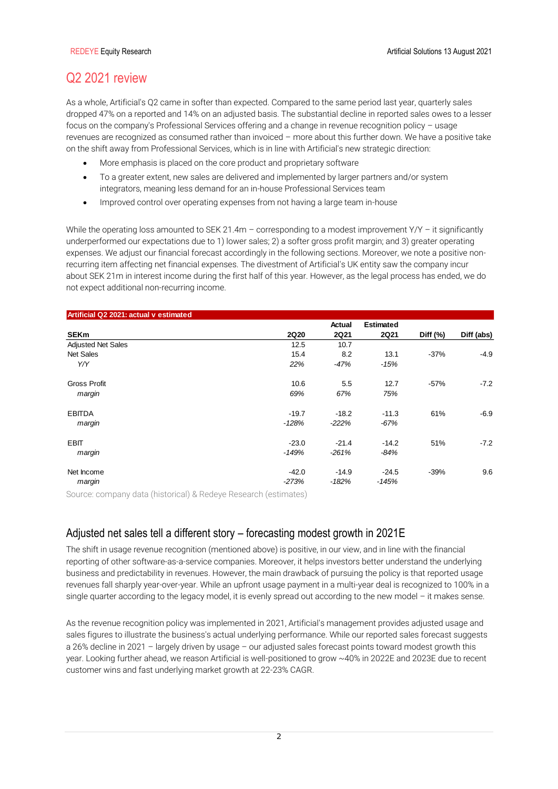# Q2 2021 review

As a whole, Artificial's Q2 came in softer than expected. Compared to the same period last year, quarterly sales dropped 47% on a reported and 14% on an adjusted basis. The substantial decline in reported sales owes to a lesser focus on the company's Professional Services offering and a change in revenue recognition policy – usage revenues are recognized as consumed rather than invoiced – more about this further down. We have a positive take on the shift away from Professional Services, which is in line with Artificial's new strategic direction:

- More emphasis is placed on the core product and proprietary software
- To a greater extent, new sales are delivered and implemented by larger partners and/or system integrators, meaning less demand for an in-house Professional Services team
- Improved control over operating expenses from not having a large team in-house

While the operating loss amounted to SEK 21.4m – corresponding to a modest improvement Y/Y – it significantly underperformed our expectations due to 1) lower sales; 2) a softer gross profit margin; and 3) greater operating expenses. We adjust our financial forecast accordingly in the following sections. Moreover, we note a positive nonrecurring item affecting net financial expenses. The divestment of Artificial's UK entity saw the company incur about SEK 21m in interest income during the first half of this year. However, as the legal process has ended, we do not expect additional non-recurring income.

| Artificial Q2 2021: actual v estimated |             |             |                  |            |            |
|----------------------------------------|-------------|-------------|------------------|------------|------------|
|                                        |             | Actual      | <b>Estimated</b> |            |            |
| <b>SEKm</b>                            | <b>2Q20</b> | <b>2Q21</b> | <b>2Q21</b>      | Diff $(%)$ | Diff (abs) |
| <b>Adjusted Net Sales</b>              | 12.5        | 10.7        |                  |            |            |
| <b>Net Sales</b>                       | 15.4        | 8.2         | 13.1             | $-37%$     | $-4.9$     |
| Y/Y                                    | 22%         | $-47%$      | $-15%$           |            |            |
| <b>Gross Profit</b>                    | 10.6        | 5.5         | 12.7             | $-57%$     | $-7.2$     |
| margin                                 | 69%         | 67%         | 75%              |            |            |
| <b>EBITDA</b>                          | $-19.7$     | $-18.2$     | $-11.3$          | 61%        | $-6.9$     |
| margin                                 | $-128%$     | $-222%$     | $-67%$           |            |            |
| <b>EBIT</b>                            | $-23.0$     | $-21.4$     | $-14.2$          | 51%        | $-7.2$     |
| margin                                 | -149%       | $-261%$     | $-84%$           |            |            |
| Net Income                             | $-42.0$     | $-14.9$     | $-24.5$          | $-39%$     | 9.6        |
| margin                                 | $-273%$     | $-182%$     | $-145%$          |            |            |

Source: company data (historical) & Redeye Research (estimates)

## Adjusted net sales tell a different story – forecasting modest growth in 2021E

The shift in usage revenue recognition (mentioned above) is positive, in our view, and in line with the financial reporting of other software-as-a-service companies. Moreover, it helps investors better understand the underlying business and predictability in revenues. However, the main drawback of pursuing the policy is that reported usage revenues fall sharply year-over-year. While an upfront usage payment in a multi-year deal is recognized to 100% in a single quarter according to the legacy model, it is evenly spread out according to the new model – it makes sense.

As the revenue recognition policy was implemented in 2021, Artificial's management provides adjusted usage and sales figures to illustrate the business's actual underlying performance. While our reported sales forecast suggests a 26% decline in 2021 – largely driven by usage – our adjusted sales forecast points toward modest growth this year. Looking further ahead, we reason Artificial is well-positioned to grow ~40% in 2022E and 2023E due to recent customer wins and fast underlying market growth at 22-23% CAGR.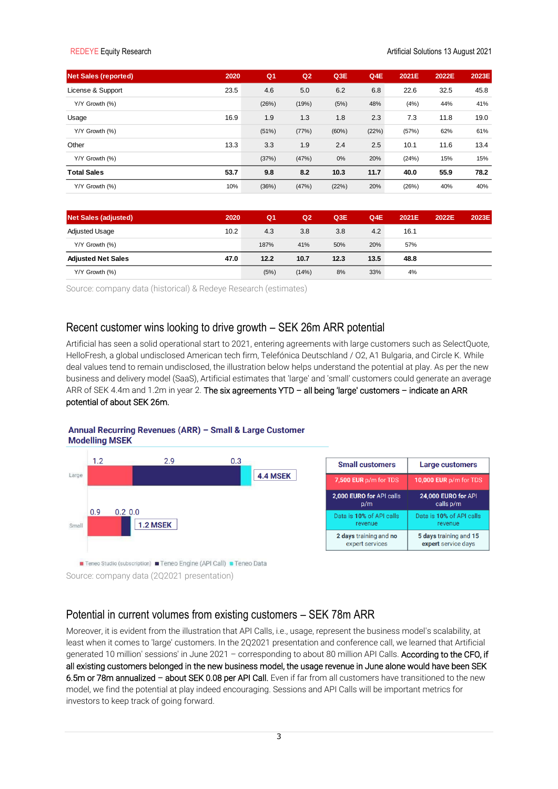| <b>Net Sales (reported)</b> | 2020 | Q <sub>1</sub> | Q <sub>2</sub> | Q3E   | Q4E   | 2021E | 2022E | 2023E |
|-----------------------------|------|----------------|----------------|-------|-------|-------|-------|-------|
| License & Support           | 23.5 | 4.6            | 5.0            | 6.2   | 6.8   | 22.6  | 32.5  | 45.8  |
| Y/Y Growth (%)              |      | (26%)          | (19%)          | (5%)  | 48%   | (4%)  | 44%   | 41%   |
| Usage                       | 16.9 | 1.9            | 1.3            | 1.8   | 2.3   | 7.3   | 11.8  | 19.0  |
| Y/Y Growth (%)              |      | (51%)          | (77%)          | (60%) | (22%) | (57%) | 62%   | 61%   |
| Other                       | 13.3 | 3.3            | 1.9            | 2.4   | 2.5   | 10.1  | 11.6  | 13.4  |
| Y/Y Growth (%)              |      | (37%)          | (47%)          | 0%    | 20%   | (24%) | 15%   | 15%   |
| <b>Total Sales</b>          | 53.7 | 9.8            | 8.2            | 10.3  | 11.7  | 40.0  | 55.9  | 78.2  |
| Y/Y Growth (%)              | 10%  | (36%)          | (47%)          | (22%) | 20%   | (26%) | 40%   | 40%   |

| <b>Net Sales (adjusted)</b> | 2020 | Q <sub>1</sub> | Q <sub>2</sub> | Q3E  | Q4E  | 2021E | 2022E | 2023E |
|-----------------------------|------|----------------|----------------|------|------|-------|-------|-------|
| Adjusted Usage              | 10.2 | 4.3            | 3.8            | 3.8  | 4.2  | 16.1  |       |       |
| Y/Y Growth (%)              |      | 187%           | 41%            | 50%  | 20%  | 57%   |       |       |
| <b>Adjusted Net Sales</b>   | 47.0 | 12.2           | 10.7           | 12.3 | 13.5 | 48.8  |       |       |
| Y/Y Growth (%)              |      | (5%)           | (14%)          | 8%   | 33%  | 4%    |       |       |

Source: company data (historical) & Redeye Research (estimates)

## Recent customer wins looking to drive growth – SEK 26m ARR potential

Artificial has seen a solid operational start to 2021, entering agreements with large customers such as SelectQuote, HelloFresh, a global undisclosed American tech firm, Telefónica Deutschland / O2, A1 Bulgaria, and Circle K. While deal values tend to remain undisclosed, the illustration below helps understand the potential at play. As per the new business and delivery model (SaaS), Artificial estimates that 'large' and 'small' customers could generate an average ARR of SEK 4.4m and 1.2m in year 2. The six agreements YTD - all being 'large' customers - indicate an ARR potential of about SEK 26m.

### Annual Recurring Revenues (ARR) - Small & Large Customer **Modelling MSEK**



Source: company data (2Q2021 presentation)

## Potential in current volumes from existing customers – SEK 78m ARR

Moreover, it is evident from the illustration that API Calls, i.e., usage, represent the business model's scalability, at least when it comes to 'large' customers. In the 2Q2021 presentation and conference call, we learned that Artificial generated 10 million' sessions' in June 2021 – corresponding to about 80 million API Calls. According to the CFO, if all existing customers belonged in the new business model, the usage revenue in June alone would have been SEK 6.5m or 78m annualized – about SEK 0.08 per API Call. Even if far from all customers have transitioned to the new model, we find the potential at play indeed encouraging. Sessions and API Calls will be important metrics for investors to keep track of going forward.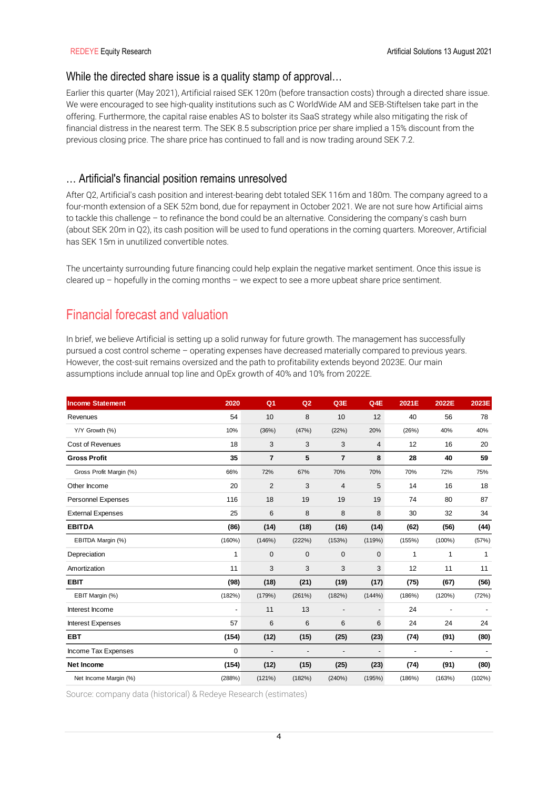## While the directed share issue is a quality stamp of approval...

Earlier this quarter (May 2021), Artificial raised SEK 120m (before transaction costs) through a directed share issue. We were encouraged to see high-quality institutions such as C WorldWide AM and SEB-Stiftelsen take part in the offering. Furthermore, the capital raise enables AS to bolster its SaaS strategy while also mitigating the risk of financial distress in the nearest term. The SEK 8.5 subscription price per share implied a 15% discount from the previous closing price. The share price has continued to fall and is now trading around SEK 7.2.

## … Artificial's financial position remains unresolved

After Q2, Artificial's cash position and interest-bearing debt totaled SEK 116m and 180m. The company agreed to a four-month extension of a SEK 52m bond, due for repayment in October 2021. We are not sure how Artificial aims to tackle this challenge – to refinance the bond could be an alternative. Considering the company's cash burn (about SEK 20m in Q2), its cash position will be used to fund operations in the coming quarters. Moreover, Artificial has SEK 15m in unutilized convertible notes.

The uncertainty surrounding future financing could help explain the negative market sentiment. Once this issue is cleared up – hopefully in the coming months – we expect to see a more upbeat share price sentiment.

# Financial forecast and valuation

In brief, we believe Artificial is setting up a solid runway for future growth. The management has successfully pursued a cost control scheme – operating expenses have decreased materially compared to previous years. However, the cost-suit remains oversized and the path to profitability extends beyond 2023E. Our main assumptions include annual top line and OpEx growth of 40% and 10% from 2022E.

| <b>Income Statement</b>   | 2020                     | Q <sub>1</sub> | Q <sub>2</sub>           | Q3E                      | Q4E                      | 2021E                    | 2022E                    | 2023E        |
|---------------------------|--------------------------|----------------|--------------------------|--------------------------|--------------------------|--------------------------|--------------------------|--------------|
| Revenues                  | 54                       | 10             | 8                        | 10                       | 12                       | 40                       | 56                       | 78           |
| Y/Y Growth (%)            | 10%                      | (36%)          | (47%)                    | (22%)                    | 20%                      | (26%)                    | 40%                      | 40%          |
| Cost of Revenues          | 18                       | 3              | 3                        | 3                        | 4                        | 12                       | 16                       | 20           |
| <b>Gross Profit</b>       | 35                       | $\overline{7}$ | 5                        | $\overline{7}$           | 8                        | 28                       | 40                       | 59           |
| Gross Profit Margin (%)   | 66%                      | 72%            | 67%                      | 70%                      | 70%                      | 70%                      | 72%                      | 75%          |
| Other Income              | 20                       | $\overline{2}$ | 3                        | 4                        | 5                        | 14                       | 16                       | 18           |
| <b>Personnel Expenses</b> | 116                      | 18             | 19                       | 19                       | 19                       | 74                       | 80                       | 87           |
| <b>External Expenses</b>  | 25                       | 6              | 8                        | 8                        | 8                        | 30                       | 32                       | 34           |
| <b>EBITDA</b>             | (86)                     | (14)           | (18)                     | (16)                     | (14)                     | (62)                     | (56)                     | (44)         |
| EBITDA Margin (%)         | (160%)                   | (146%)         | (222%)                   | (153%)                   | (119%)                   | (155%)                   | $(100\%)$                | (57%)        |
| Depreciation              | 1                        | 0              | 0                        | $\mathbf 0$              | 0                        | 1                        | 1                        | $\mathbf{1}$ |
| Amortization              | 11                       | 3              | 3                        | 3                        | 3                        | 12                       | 11                       | 11           |
| <b>EBIT</b>               | (98)                     | (18)           | (21)                     | (19)                     | (17)                     | (75)                     | (67)                     | (56)         |
| EBIT Margin (%)           | (182%)                   | (179%)         | (261%)                   | (182%)                   | (144%)                   | (186%)                   | (120%)                   | (72%)        |
| Interest Income           | $\overline{\phantom{a}}$ | 11             | 13                       | $\overline{\phantom{0}}$ | $\overline{\phantom{0}}$ | 24                       | $\overline{\phantom{a}}$ |              |
| <b>Interest Expenses</b>  | 57                       | 6              | 6                        | 6                        | 6                        | 24                       | 24                       | 24           |
| <b>EBT</b>                | (154)                    | (12)           | (15)                     | (25)                     | (23)                     | (74)                     | (91)                     | (80)         |
| Income Tax Expenses       | 0                        | -              | $\overline{\phantom{0}}$ | $\overline{\phantom{0}}$ | $\overline{a}$           | $\overline{\phantom{0}}$ | $\overline{\phantom{a}}$ |              |
| <b>Net Income</b>         | (154)                    | (12)           | (15)                     | (25)                     | (23)                     | (74)                     | (91)                     | (80)         |
| Net Income Margin (%)     | (288%)                   | (121%)         | (182%)                   | (240%)                   | (195%)                   | (186%)                   | (163%)                   | (102%)       |

Source: company data (historical) & Redeye Research (estimates)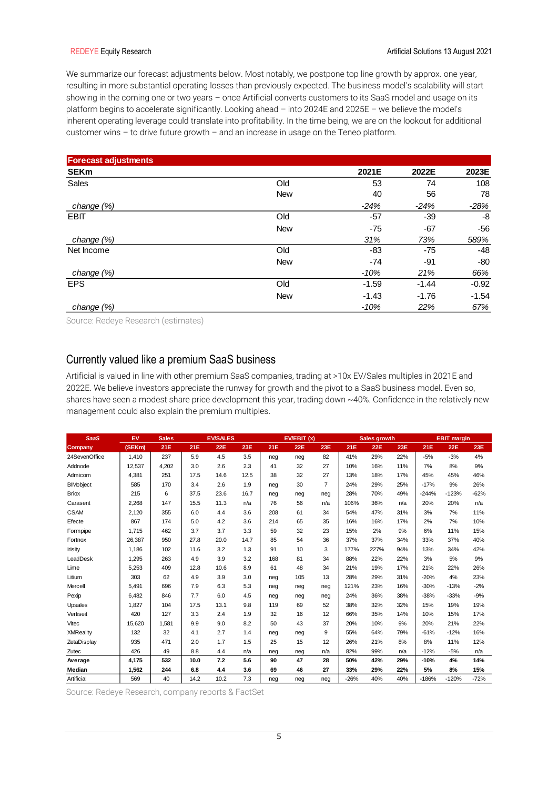We summarize our forecast adjustments below. Most notably, we postpone top line growth by approx. one year, resulting in more substantial operating losses than previously expected. The business model's scalability will start showing in the coming one or two years – once Artificial converts customers to its SaaS model and usage on its platform begins to accelerate significantly. Looking ahead – into 2024E and 2025E – we believe the model's inherent operating leverage could translate into profitability. In the time being, we are on the lookout for additional customer wins – to drive future growth – and an increase in usage on the Teneo platform.

| <b>Forecast adjustments</b> |            |         |         |         |
|-----------------------------|------------|---------|---------|---------|
| <b>SEKm</b>                 |            | 2021E   | 2022E   | 2023E   |
| Sales                       | Old        | 53      | 74      | 108     |
|                             | <b>New</b> | 40      | 56      | 78      |
| change (%)                  |            | $-24%$  | $-24%$  | $-28%$  |
| <b>EBIT</b>                 | Old        | $-57$   | $-39$   | -8      |
|                             | <b>New</b> | $-75$   | $-67$   | $-56$   |
| change $(\%)$               |            | 31%     | 73%     | 589%    |
| Net Income                  | Old        | -83     | $-75$   | $-48$   |
|                             | <b>New</b> | -74     | -91     | $-80$   |
| change (%)                  |            | $-10%$  | 21%     | 66%     |
| <b>EPS</b>                  | Old        | $-1.59$ | $-1.44$ | $-0.92$ |
|                             | <b>New</b> | $-1.43$ | $-1.76$ | $-1.54$ |
| change $(\%)$               |            | $-10%$  | 22%     | 67%     |

Source: Redeye Research (estimates)

## Currently valued like a premium SaaS business

Artificial is valued in line with other premium SaaS companies, trading at >10x EV/Sales multiples in 2021E and 2022E. We believe investors appreciate the runway for growth and the pivot to a SaaS business model. Even so, shares have seen a modest share price development this year, trading down ~40%. Confidence in the relatively new management could also explain the premium multiples.

| <b>SaaS</b>      | EV     | <b>Sales</b> |      | <b>EV/SALES</b> |      |     | EVIEBIT(x) |                |        | <b>Sales growth</b> |     |         | <b>EBIT</b> margin |        |
|------------------|--------|--------------|------|-----------------|------|-----|------------|----------------|--------|---------------------|-----|---------|--------------------|--------|
| Company          | (SEKm) | 21E          | 21E  | <b>22E</b>      | 23E  | 21E | <b>22E</b> | 23E            | 21E    | <b>22E</b>          | 23E | 21E     | <b>22E</b>         | 23E    |
| 24SevenOffice    | 1.410  | 237          | 5.9  | 4.5             | 3.5  | neg | neg        | 82             | 41%    | 29%                 | 22% | $-5%$   | $-3%$              | 4%     |
| Addnode          | 12,537 | 4,202        | 3.0  | 2.6             | 2.3  | 41  | 32         | 27             | 10%    | 16%                 | 11% | 7%      | 8%                 | 9%     |
| Admicom          | 4,381  | 251          | 17.5 | 14.6            | 12.5 | 38  | 32         | 27             | 13%    | 18%                 | 17% | 45%     | 45%                | 46%    |
| <b>BIMobject</b> | 585    | 170          | 3.4  | 2.6             | 1.9  | neg | 30         | $\overline{7}$ | 24%    | 29%                 | 25% | $-17%$  | 9%                 | 26%    |
| <b>Briox</b>     | 215    | 6            | 37.5 | 23.6            | 16.7 | neg | neg        | neg            | 28%    | 70%                 | 49% | $-244%$ | $-123%$            | $-62%$ |
| Carasent         | 2,268  | 147          | 15.5 | 11.3            | n/a  | 76  | 56         | n/a            | 106%   | 36%                 | n/a | 20%     | 20%                | n/a    |
| <b>CSAM</b>      | 2.120  | 355          | 6.0  | 4.4             | 3.6  | 208 | 61         | 34             | 54%    | 47%                 | 31% | 3%      | 7%                 | 11%    |
| Efecte           | 867    | 174          | 5.0  | 4.2             | 3.6  | 214 | 65         | 35             | 16%    | 16%                 | 17% | 2%      | 7%                 | 10%    |
| Formpipe         | 1.715  | 462          | 3.7  | 3.7             | 3.3  | 59  | 32         | 23             | 15%    | 2%                  | 9%  | 6%      | 11%                | 15%    |
| Fortnox          | 26.387 | 950          | 27.8 | 20.0            | 14.7 | 85  | 54         | 36             | 37%    | 37%                 | 34% | 33%     | 37%                | 40%    |
| Irisity          | 1,186  | 102          | 11.6 | 3.2             | 1.3  | 91  | 10         | 3              | 177%   | 227%                | 94% | 13%     | 34%                | 42%    |
| LeadDesk         | 1,295  | 263          | 4.9  | 3.9             | 3.2  | 168 | 81         | 34             | 88%    | 22%                 | 22% | 3%      | 5%                 | 9%     |
| Lime             | 5,253  | 409          | 12.8 | 10.6            | 8.9  | 61  | 48         | 34             | 21%    | 19%                 | 17% | 21%     | 22%                | 26%    |
| Litium           | 303    | 62           | 4.9  | 3.9             | 3.0  | neg | 105        | 13             | 28%    | 29%                 | 31% | $-20%$  | 4%                 | 23%    |
| Mercell          | 5.491  | 696          | 7.9  | 6.3             | 5.3  | neg | neg        | neg            | 121%   | 23%                 | 16% | $-30%$  | $-13%$             | $-2%$  |
| Pexip            | 6,482  | 846          | 7.7  | 6.0             | 4.5  | neg | neg        | neg            | 24%    | 36%                 | 38% | $-38%$  | $-33%$             | $-9%$  |
| Upsales          | 1,827  | 104          | 17.5 | 13.1            | 9.8  | 119 | 69         | 52             | 38%    | 32%                 | 32% | 15%     | 19%                | 19%    |
| Vertiseit        | 420    | 127          | 3.3  | 2.4             | 1.9  | 32  | 16         | 12             | 66%    | 35%                 | 14% | 10%     | 15%                | 17%    |
| Vitec            | 15.620 | 1,581        | 9.9  | 9.0             | 8.2  | 50  | 43         | 37             | 20%    | 10%                 | 9%  | 20%     | 21%                | 22%    |
| <b>XMReality</b> | 132    | 32           | 4.1  | 2.7             | 1.4  | neg | neg        | 9              | 55%    | 64%                 | 79% | $-61%$  | $-12%$             | 16%    |
| ZetaDisplay      | 935    | 471          | 2.0  | 1.7             | 1.5  | 25  | 15         | 12             | 26%    | 21%                 | 8%  | 8%      | 11%                | 12%    |
| Zutec            | 426    | 49           | 8.8  | 4.4             | n/a  | neg | neg        | n/a            | 82%    | 99%                 | n/a | $-12%$  | $-5%$              | n/a    |
| Average          | 4.175  | 532          | 10.0 | 7.2             | 5.6  | 90  | 47         | 28             | 50%    | 42%                 | 29% | $-10%$  | 4%                 | 14%    |
| Median           | 1,562  | 244          | 6.8  | 4.4             | 3.6  | 69  | 46         | 27             | 33%    | 29%                 | 22% | 5%      | 8%                 | 15%    |
| Artificial       | 569    | 40           | 14.2 | 10.2            | 7.3  | neg | neg        | neg            | $-26%$ | 40%                 | 40% | $-186%$ | $-120%$            | $-72%$ |

Source: Redeye Research, company reports & FactSet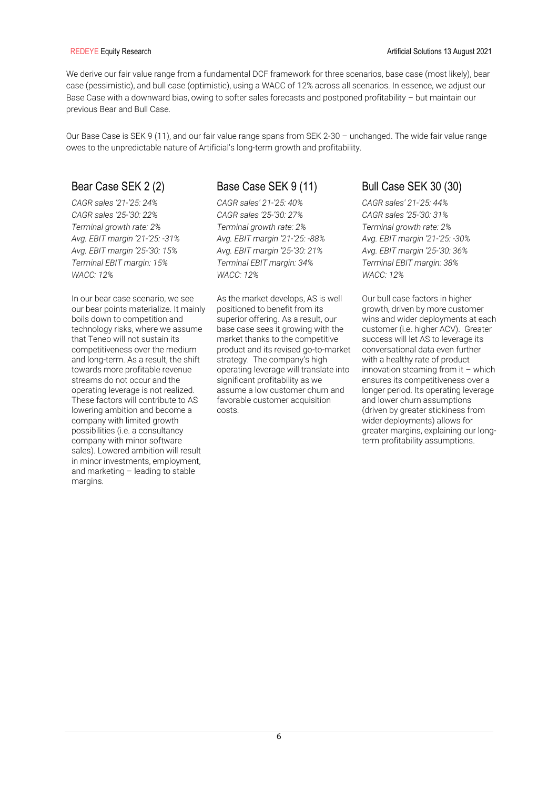We derive our fair value range from a fundamental DCF framework for three scenarios, base case (most likely), bear case (pessimistic), and bull case (optimistic), using a WACC of 12% across all scenarios. In essence, we adjust our Base Case with a downward bias, owing to softer sales forecasts and postponed profitability – but maintain our previous Bear and Bull Case.

Our Base Case is SEK 9 (11), and our fair value range spans from SEK 2-30 – unchanged. The wide fair value range owes to the unpredictable nature of Artificial's long-term growth and profitability.

*CAGR sales '21-'25: 24% CAGR sales '25-'30: 22% Terminal growth rate: 2% Avg. EBIT margin '21-'25: -31% Avg. EBIT margin '25-'30: 15% Terminal EBIT margin: 15% WACC: 12%* 

In our bear case scenario, we see our bear points materialize. It mainly boils down to competition and technology risks, where we assume that Teneo will not sustain its competitiveness over the medium and long-term. As a result, the shift towards more profitable revenue streams do not occur and the operating leverage is not realized. These factors will contribute to AS lowering ambition and become a company with limited growth possibilities (i.e. a consultancy company with minor software sales). Lowered ambition will result in minor investments, employment, and marketing – leading to stable margins.

## Bear Case SEK 2 (2) Base Case SEK 9 (11) Bull Case SEK 30 (30)

*CAGR sales' 21-'25: 40% CAGR sales '25-'30: 27% Terminal growth rate: 2% Avg. EBIT margin '21-'25: -88% Avg. EBIT margin '25-'30: 21% Terminal EBIT margin: 34% WACC: 12%* 

As the market develops, AS is well positioned to benefit from its superior offering. As a result, our base case sees it growing with the market thanks to the competitive product and its revised go-to-market strategy. The company's high operating leverage will translate into significant profitability as we assume a low customer churn and favorable customer acquisition costs.

*CAGR sales' 21-'25: 44% CAGR sales '25-'30: 31% Terminal growth rate: 2% Avg. EBIT margin '21-'25: -30% Avg. EBIT margin '25-'30: 36% Terminal EBIT margin: 38% WACC: 12%* 

Our bull case factors in higher growth, driven by more customer wins and wider deployments at each customer (i.e. higher ACV). Greater success will let AS to leverage its conversational data even further with a healthy rate of product innovation steaming from it  $-$  which ensures its competitiveness over a longer period. Its operating leverage and lower churn assumptions (driven by greater stickiness from wider deployments) allows for greater margins, explaining our longterm profitability assumptions.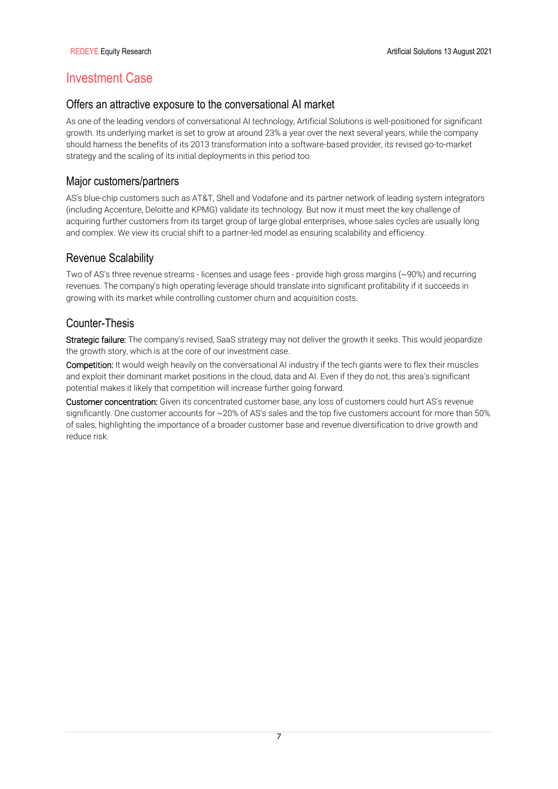# Investment Case

## Offers an attractive exposure to the conversational AI market

As one of the leading vendors of conversational AI technology, Artificial Solutions is well-positioned for significant growth. Its underlying market is set to grow at around 23% a year over the next several years, while the company should harness the benefits of its 2013 transformation into a software-based provider, its revised go-to-market strategy and the scaling of its initial deployments in this period too.

## Major customers/partners

AS's blue-chip customers such as AT&T, Shell and Vodafone and its partner network of leading system integrators (including Accenture, Deloitte and KPMG) validate its technology. But now it must meet the key challenge of acquiring further customers from its target group of large global enterprises, whose sales cycles are usually long and complex. We view its crucial shift to a partner-led model as ensuring scalability and efficiency.

## Revenue Scalability

Two of AS's three revenue streams - licenses and usage fees - provide high gross margins (~90%) and recurring revenues. The company's high operating leverage should translate into significant profitability if it succeeds in growing with its market while controlling customer churn and acquisition costs.

## Counter-Thesis

Strategic failure: The company's revised, SaaS strategy may not deliver the growth it seeks. This would jeopardize the growth story, which is at the core of our investment case.

Competition: It would weigh heavily on the conversational AI industry if the tech giants were to flex their muscles and exploit their dominant market positions in the cloud, data and AI. Even if they do not, this area's significant potential makes it likely that competition will increase further going forward.

Customer concentration: Given its concentrated customer base, any loss of customers could hurt AS's revenue significantly. One customer accounts for ~20% of AS's sales and the top five customers account for more than 50% of sales, highlighting the importance of a broader customer base and revenue diversification to drive growth and reduce risk.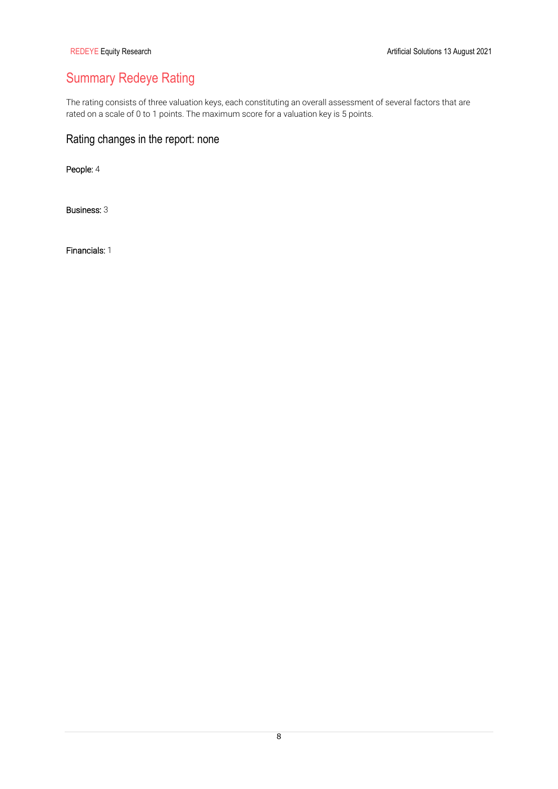# Summary Redeye Rating

The rating consists of three valuation keys, each constituting an overall assessment of several factors that are rated on a scale of 0 to 1 points. The maximum score for a valuation key is 5 points.

## Rating changes in the report: none

People: 4

Business: 3

Financials: 1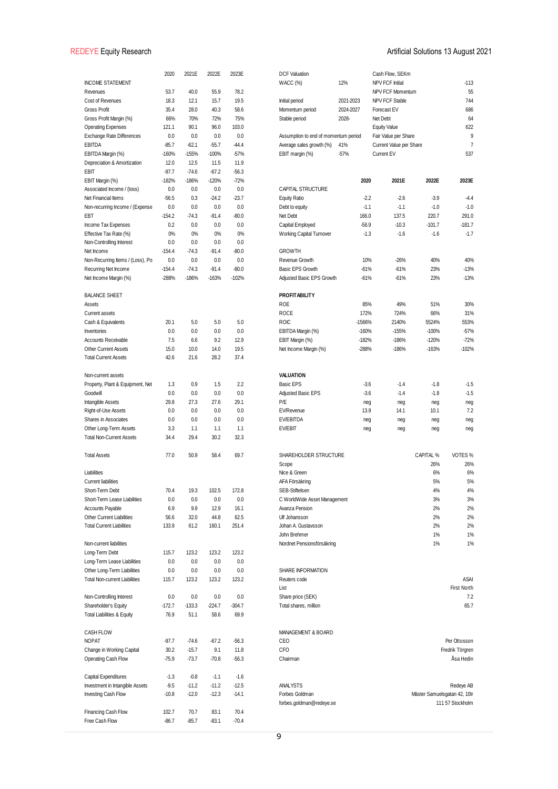|                                                               | 2020              | 2021E              | 2022E              | 2023E              | <b>DCF Valuation</b>                 |           | Cash Flow, SEKm         |           |                                           |
|---------------------------------------------------------------|-------------------|--------------------|--------------------|--------------------|--------------------------------------|-----------|-------------------------|-----------|-------------------------------------------|
| <b>INCOME STATEMENT</b>                                       |                   |                    |                    |                    | <b>WACC</b> (%)                      | 12%       | NPV FCF Initial         |           | $-113$                                    |
| Revenues                                                      | 53.7              | 40.0               | 55.9               | 78.2               |                                      |           | <b>NPV FCF Momentum</b> |           | 55                                        |
| Cost of Revenues                                              | 18.3              | 12.1               | 15.7               | 19.5               | Initial period                       | 2021-2023 | NPV FCF Stable          |           | 744                                       |
| Gross Profit                                                  | 35.4              | 28.0               | 40.3               | 58.6               | Momentum period                      | 2024-2027 | Forecast EV             |           | 686                                       |
| Gross Profit Margin (%)                                       | 66%               | 70%                | 72%                | 75%                | Stable period                        | 2028-     | Net Debt                |           | 64                                        |
| <b>Operating Expenses</b>                                     | 121.1             | 90.1               | 96.0               | 103.0              |                                      |           | <b>Equity Value</b>     |           | 622                                       |
| <b>Exchange Rate Differences</b>                              | 0.0               | 0.0                | 0.0                | 0.0                | Assumption to end of momentum period |           | Fair Value per Share    |           | 9                                         |
| EBITDA                                                        | $-85.7$           | $-62.1$            | $-55.7$            | $-44.4$            | Average sales growth (%)             | 41%       | Current Value per Share |           | $\overline{7}$                            |
| EBITDA Margin (%)<br>Depreciation & Amortization              | $-160%$<br>12.0   | $-155%$<br>12.5    | $-100%$<br>11.5    | $-57%$<br>11.9     | EBIT margin (%)                      | $-57%$    | <b>Current EV</b>       |           | 537                                       |
| EBIT                                                          | $-97.7$           | $-74.6$            | $-67.2$            | $-56.3$            |                                      |           |                         |           |                                           |
| EBIT Margin (%)                                               | $-182%$           | $-186%$            | $-120%$            | $-72%$             |                                      | 2020      | 2021E                   | 2022E     | 2023E                                     |
| Associated Income / (loss)                                    | 0.0               | 0.0                | 0.0                | 0.0                | CAPITAL STRUCTURE                    |           |                         |           |                                           |
| Net Financial Items                                           | $-56.5$           | 0.3                | $-24.2$            | $-23.7$            | <b>Equity Ratio</b>                  | $-2.2$    | $-2.6$                  | $-3.9$    | -4.4                                      |
| Non-recurring Income / (Expense                               | 0.0               | 0.0                | 0.0                | 0.0                | Debt to equity                       | $-1.1$    | $-1.1$                  | $-1.0$    | $-1.0$                                    |
| EBT                                                           | $-154.2$          | $-74.3$            | $-91.4$            | $-80.0$            | Net Debt                             | 166.0     | 137.5                   | 220.7     | 291.0                                     |
| Income Tax Expenses                                           | 0.2               | 0.0                | 0.0                | 0.0                | Capital Employed                     | $-56.9$   | $-10.3$                 | $-101.7$  | $-181.7$                                  |
| Effective Tax Rate (%)                                        | 0%                | 0%                 | 0%                 | 0%                 | Working Capital Turnover             | $-1.3$    | $-1.6$                  | $-1.6$    | $-1.7$                                    |
| Non-Controlling Interest                                      | 0.0               | 0.0                | 0.0                | 0.0                |                                      |           |                         |           |                                           |
| Net Income                                                    | $-154.4$          | $-74.3$            | $-91.4$            | $-80.0$            | <b>GROWTH</b>                        |           |                         |           |                                           |
| Non-Recurring Items / (Loss), Po                              | 0.0               | 0.0                | 0.0                | 0.0                | Revenue Growth                       | 10%       | $-26%$                  | 40%       | 40%                                       |
| Recurring Net Income                                          | $-154.4$          | $-74.3$            | $-91.4$            | $-80.0$            | <b>Basic EPS Growth</b>              | $-61%$    | $-61%$                  | 23%       | $-13%$                                    |
| Net Income Margin (%)                                         | $-288%$           | -186%              | $-163%$            | $-102%$            | Adjusted Basic EPS Growth            | $-61%$    | $-61%$                  | 23%       | $-13%$                                    |
|                                                               |                   |                    |                    |                    |                                      |           |                         |           |                                           |
| <b>BALANCE SHEET</b>                                          |                   |                    |                    |                    | <b>PROFITABILITY</b>                 |           |                         |           |                                           |
| Assets                                                        |                   |                    |                    |                    | <b>ROE</b>                           | 85%       | 49%                     | 51%       | 30%                                       |
| <b>Current assets</b>                                         |                   |                    |                    |                    | <b>ROCE</b>                          | 172%      | 724%                    | 66%       | 31%                                       |
| Cash & Equivalents                                            | 20.1              | 5.0                | 5.0                | 5.0                | <b>ROIC</b>                          | -1566%    | 2140%                   | 5524%     | 553%                                      |
| Inventories                                                   | 0.0               | 0.0                | 0.0                | 0.0                | EBITDA Margin (%)                    | $-160%$   | $-155%$                 | $-100%$   | $-57%$                                    |
| <b>Accounts Receivable</b>                                    | 7.5               | 6.6                | 9.2                | 12.9               | EBIT Margin (%)                      | $-182%$   | $-186%$                 | $-120%$   | $-72%$                                    |
| <b>Other Current Assets</b><br><b>Total Current Assets</b>    | 15.0<br>42.6      | 10.0<br>21.6       | 14.0<br>28.2       | 19.5<br>37.4       | Net Income Margin (%)                | $-288%$   | $-186%$                 | $-163%$   | $-102%$                                   |
|                                                               |                   |                    |                    |                    |                                      |           |                         |           |                                           |
| Non-current assets                                            |                   |                    |                    |                    | <b>VALUATION</b>                     |           |                         |           |                                           |
| Property, Plant & Equipment, Net                              | 1.3               | 0.9                | 1.5                | 2.2                | <b>Basic EPS</b>                     | $-3.6$    | $-1.4$                  | $-1.8$    | $-1.5$                                    |
| Goodwill                                                      | 0.0               | 0.0                | 0.0                | 0.0                | <b>Adjusted Basic EPS</b>            | $-3.6$    | $-1.4$                  | $-1.8$    | $-1.5$                                    |
| Intangible Assets                                             | 29.8              | 27.3               | 27.6               | 29.1               | P/E                                  | neg       | neg                     | neg       | neg                                       |
| Right-of-Use Assets                                           | 0.0               | 0.0                | 0.0                | 0.0                | EV/Revenue                           | 13.9      | 14.1                    | 10.1      | 7.2                                       |
| Shares in Associates                                          | 0.0               | 0.0                | 0.0                | 0.0                | EV/EBITDA                            | neg       | neg                     | neg       | neg                                       |
| Other Long-Term Assets                                        | 3.3               | 1.1                | 1.1                | 1.1                | EV/EBIT                              | neg       | neg                     | neg       | neg                                       |
| <b>Total Non-Current Assets</b>                               | 34.4              | 29.4               | 30.2               | 32.3               |                                      |           |                         |           |                                           |
|                                                               |                   |                    |                    |                    |                                      |           |                         |           |                                           |
| <b>Total Assets</b>                                           | 77.0              | 50.9               | 58.4               | 69.7               | SHAREHOLDER STRUCTURE                |           |                         | CAPITAL % | VOTES %                                   |
|                                                               |                   |                    |                    |                    | Scope                                |           |                         | 26%       | 26%                                       |
| Liabilities                                                   |                   |                    |                    |                    | Nice & Green                         |           |                         | 6%        | 6%                                        |
| <b>Current liabilities</b>                                    |                   |                    |                    |                    | AFA Försäkring                       |           |                         | 5%        | 5%                                        |
| Short-Term Debt                                               | 70.4              | 19.3               | 102.5              | 172.8              | SEB-Stiftelsen                       |           |                         | 4%        | 4%                                        |
| Short-Term Lease Liabilities                                  | 0.0               | 0.0                | 0.0                | 0.0                | C WorldWide Asset Management         |           |                         | 3%        | 3%                                        |
| <b>Accounts Payable</b>                                       | 6.9               | 9.9                | 12.9               | 16.1               | Avanza Pension                       |           |                         | 2%        | 2%                                        |
| <b>Other Current Liabilities</b>                              | 56.6              | 32.0               | 44.8               | 62.5               | Ulf Johansson                        |           |                         | 2%        | 2%                                        |
| <b>Total Current Liabilities</b>                              | 133.9             | 61.2               | 160.1              | 251.4              | Johan A. Gustavsson<br>John Brehmer  |           |                         | 2%<br>1%  | 2%<br>1%                                  |
| Non-current liabilities                                       |                   |                    |                    |                    | Nordnet Pensionsförsäkring           |           |                         | 1%        | 1%                                        |
| Long-Term Debt                                                | 115.7             | 123.2              | 123.2              | 123.2              |                                      |           |                         |           |                                           |
| Long-Term Lease Liabilities                                   | 0.0               | 0.0                | 0.0                | 0.0                |                                      |           |                         |           |                                           |
| Other Long-Term Liabilities                                   | 0.0               | 0.0                | 0.0                | 0.0                | SHARE INFORMATION                    |           |                         |           |                                           |
| <b>Total Non-current Liabilities</b>                          | 115.7             | 123.2              | 123.2              | 123.2              | Reuters code                         |           |                         |           | ASAI                                      |
|                                                               |                   |                    |                    |                    | List                                 |           |                         |           | First North                               |
| Non-Controlling Interest                                      | 0.0               | 0.0                | 0.0                | 0.0                | Share price (SEK)                    |           |                         |           | 7.2                                       |
| Shareholder's Equity                                          | $-172.7$          | $-133.3$           | $-224.7$           | $-304.7$           | Total shares, million                |           |                         |           | 65.7                                      |
| <b>Total Liabilities &amp; Equity</b>                         | 76.9              | 51.1               | 58.6               | 69.9               |                                      |           |                         |           |                                           |
|                                                               |                   |                    |                    |                    |                                      |           |                         |           |                                           |
| <b>CASH FLOW</b>                                              |                   |                    |                    |                    | MANAGEMENT & BOARD                   |           |                         |           |                                           |
| <b>NOPAT</b>                                                  | -97.7             | $-74.6$            | $-67.2$            | $-56.3$            | CEO                                  |           |                         |           | Per Ottosson                              |
| Change in Working Capital                                     | 30.2              | $-15.7$            | 9.1                | 11.8               | CFO                                  |           |                         |           | Fredrik Törgren                           |
| <b>Operating Cash Flow</b>                                    | $-75.9$           | $-73.7$            | $-70.8$            | $-56.3$            | Chairman                             |           |                         |           | Åsa Hedin                                 |
|                                                               |                   |                    |                    |                    |                                      |           |                         |           |                                           |
| <b>Capital Expenditures</b>                                   | $-1.3$            | $-0.8$             | $-1.1$             | $-1.6$             |                                      |           |                         |           |                                           |
| Investment in Intangible Assets<br><b>Investing Cash Flow</b> | $-9.5$<br>$-10.8$ | $-11.2$<br>$-12.0$ | $-11.2$<br>$-12.3$ | $-12.5$<br>$-14.1$ | ANALYSTS<br>Forbes Goldman           |           |                         |           | Redeye AB<br>Mäster Samuelsgatan 42, 10tr |
|                                                               |                   |                    |                    |                    | forbes.goldman@redeye.se             |           |                         |           | 111 57 Stockholm                          |
| <b>Financing Cash Flow</b>                                    | 102.7             | 70.7               | 83.1               | 70.4               |                                      |           |                         |           |                                           |
| Free Cash Flow                                                | $-86.7$           | $-85.7$            | $-83.1$            | $-70.4$            |                                      |           |                         |           |                                           |
|                                                               |                   |                    |                    |                    |                                      |           |                         |           |                                           |

| <b>DCF Valuation</b>                                             |                    | Cash Flow, SEKm                                 |                    |                                                  |
|------------------------------------------------------------------|--------------------|-------------------------------------------------|--------------------|--------------------------------------------------|
| WACC (%)                                                         | 12%                | NPV FCF Initial                                 |                    | $-113$                                           |
|                                                                  |                    | NPV FCF Momentum                                |                    | 55                                               |
| Initial period                                                   | 2021-2023          | <b>NPV FCF Stable</b>                           |                    | 744                                              |
| Momentum period                                                  | 2024-2027          | Forecast EV                                     |                    | 686                                              |
| Stable period                                                    | 2028-              | Net Debt                                        |                    | 64                                               |
|                                                                  |                    | <b>Equity Value</b>                             |                    | 622                                              |
| Assumption to end of momentum period<br>Average sales growth (%) | 41%                | Fair Value per Share<br>Current Value per Share |                    | 9<br>$\overline{7}$                              |
| EBIT margin (%)                                                  | $-57%$             | <b>Current EV</b>                               |                    | 537                                              |
|                                                                  |                    |                                                 |                    |                                                  |
|                                                                  | 2020               | 2021E                                           | 2022E              | 2023E                                            |
| <b>CAPITAL STRUCTURE</b>                                         |                    |                                                 |                    |                                                  |
| <b>Equity Ratio</b>                                              | $-2.2$             | $-2.6$                                          | $-3.9$             | $-4.4$                                           |
| Debt to equity                                                   | $-1.1$             | $-1.1$                                          | $-1.0$             | $-1.0$                                           |
| Net Debt                                                         | 166.0              | 137.5                                           | 220.7              | 291.0                                            |
| Capital Employed                                                 | $-56.9$            | $-10.3$                                         | $-101.7$           | $-181.7$                                         |
| <b>Working Capital Turnover</b>                                  | $-1.3$             | $-1.6$                                          | $-1.6$             | $-1.7$                                           |
| <b>GROWTH</b>                                                    |                    |                                                 |                    |                                                  |
| Revenue Growth                                                   | 10%                | $-26%$                                          | 40%                | 40%                                              |
| <b>Basic EPS Growth</b>                                          | $-61%$             | $-61%$                                          | 23%                | $-13%$                                           |
| Adjusted Basic EPS Growth                                        | $-61%$             | $-61%$                                          | 23%                | $-13%$                                           |
| <b>PROFITABILITY</b>                                             |                    |                                                 |                    |                                                  |
| <b>ROE</b>                                                       | 85%                | 49%                                             | 51%                | 30%                                              |
| <b>ROCE</b>                                                      | 172%               | 724%                                            | 66%                | 31%                                              |
| <b>ROIC</b>                                                      | -1566%             | 2140%<br>$-155%$                                | 5524%              | 553%                                             |
| EBITDA Margin (%)                                                | $-160%$<br>$-182%$ | $-186%$                                         | $-100%$<br>$-120%$ | $-57%$<br>$-72%$                                 |
| EBIT Margin (%)<br>Net Income Margin (%)                         | $-288%$            | $-186%$                                         | $-163%$            | $-102%$                                          |
|                                                                  |                    |                                                 |                    |                                                  |
| <b>VALUATION</b>                                                 |                    |                                                 |                    |                                                  |
| <b>Basic EPS</b>                                                 | $-3.6$             | $-1.4$                                          | $-1.8$             | $-1.5$                                           |
| Adjusted Basic EPS                                               | $-3.6$             | $-1.4$                                          | $-1.8$             | $-1.5$                                           |
| P/E                                                              | neg                | neg                                             | neg                | neg                                              |
| <b>EV/Revenue</b>                                                | 13.9               | 14.1                                            | 10.1               | 7.2                                              |
| EV/EBITDA                                                        | neg                | neg                                             | neg                | neg                                              |
| EV/EBIT                                                          | neg                | neg                                             | neg                | neg                                              |
| SHAREHOLDER STRUCTURE                                            |                    |                                                 | CAPITAL %          | VOTES %                                          |
| Scope                                                            |                    |                                                 | 26%                | 26%                                              |
| Nice & Green                                                     |                    |                                                 | 6%                 | 6%                                               |
| AFA Försäkring                                                   |                    |                                                 | 5%                 | 5%                                               |
| SEB-Stiftelsen                                                   |                    |                                                 | 4%                 | 4%                                               |
| C WorldWide Asset Management                                     |                    |                                                 | 3%                 | 3%                                               |
| Avanza Pension                                                   |                    |                                                 | 2%                 | 2%                                               |
| Ulf Johansson                                                    |                    |                                                 | 2%                 | 2%                                               |
| Johan A. Gustavsson<br>John Brehmer                              |                    |                                                 | 2%<br>1%           | 2%<br>1%                                         |
| Nordnet Pensionsförsäkring                                       |                    |                                                 | 1%                 | 1%                                               |
|                                                                  |                    |                                                 |                    |                                                  |
| SHARE INFORMATION                                                |                    |                                                 |                    |                                                  |
| Reuters code                                                     |                    |                                                 |                    | ASAI                                             |
| List                                                             |                    |                                                 |                    | First North                                      |
| Share price (SEK)                                                |                    |                                                 |                    | 7.2                                              |
| Total shares, million                                            |                    |                                                 |                    | 65.7                                             |
| MANAGEMENT & BOARD                                               |                    |                                                 |                    |                                                  |
| CEO                                                              |                    |                                                 |                    | Per Ottosson                                     |
| CFO                                                              |                    |                                                 |                    | Fredrik Törgren                                  |
| Chairman                                                         |                    |                                                 |                    | Åsa Hedin                                        |
|                                                                  |                    |                                                 |                    |                                                  |
| ANALYSTS                                                         |                    |                                                 |                    | Redeye AB                                        |
| Forbes Goldman<br>forbes.goldman@redeye.se                       |                    |                                                 |                    | Mäster Samuelsgatan 42, 10tr<br>111 57 Stockholm |
|                                                                  |                    |                                                 |                    |                                                  |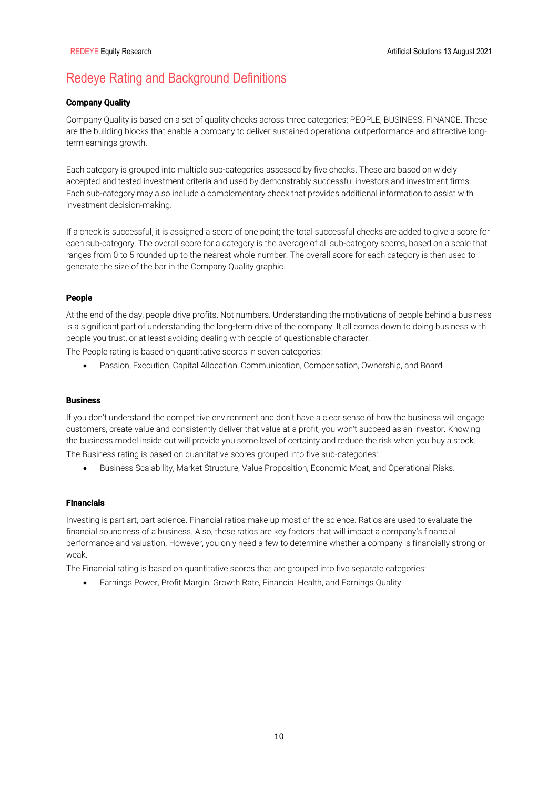# Redeye Rating and Background Definitions

## Company Quality

Company Quality is based on a set of quality checks across three categories; PEOPLE, BUSINESS, FINANCE. These are the building blocks that enable a company to deliver sustained operational outperformance and attractive longterm earnings growth.

Each category is grouped into multiple sub-categories assessed by five checks. These are based on widely accepted and tested investment criteria and used by demonstrably successful investors and investment firms. Each sub-category may also include a complementary check that provides additional information to assist with investment decision-making.

If a check is successful, it is assigned a score of one point; the total successful checks are added to give a score for each sub-category. The overall score for a category is the average of all sub-category scores, based on a scale that ranges from 0 to 5 rounded up to the nearest whole number. The overall score for each category is then used to generate the size of the bar in the Company Quality graphic.

## People

At the end of the day, people drive profits. Not numbers. Understanding the motivations of people behind a business is a significant part of understanding the long-term drive of the company. It all comes down to doing business with people you trust, or at least avoiding dealing with people of questionable character.

The People rating is based on quantitative scores in seven categories:

• Passion, Execution, Capital Allocation, Communication, Compensation, Ownership, and Board.

### **Business**

If you don't understand the competitive environment and don't have a clear sense of how the business will engage customers, create value and consistently deliver that value at a profit, you won't succeed as an investor. Knowing the business model inside out will provide you some level of certainty and reduce the risk when you buy a stock. The Business rating is based on quantitative scores grouped into five sub-categories:

• Business Scalability, Market Structure, Value Proposition, Economic Moat, and Operational Risks.

## Financials

Investing is part art, part science. Financial ratios make up most of the science. Ratios are used to evaluate the financial soundness of a business. Also, these ratios are key factors that will impact a company's financial performance and valuation. However, you only need a few to determine whether a company is financially strong or weak.

The Financial rating is based on quantitative scores that are grouped into five separate categories:

• Earnings Power, Profit Margin, Growth Rate, Financial Health, and Earnings Quality.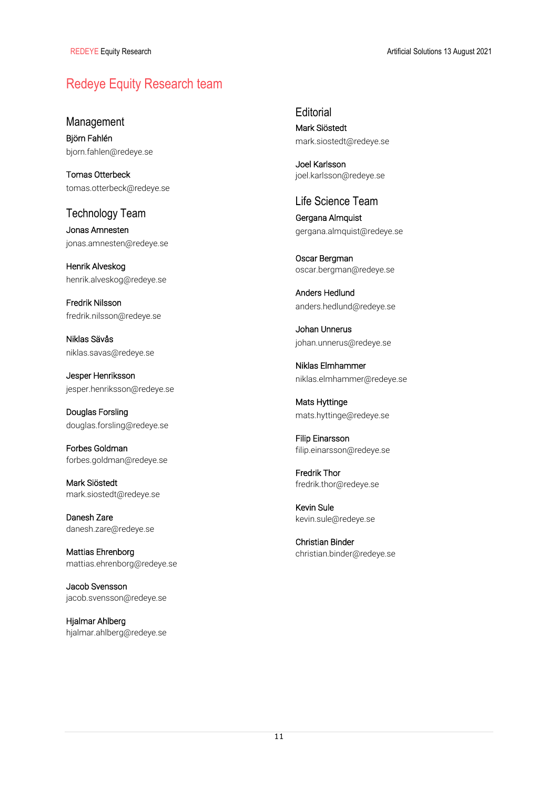# Redeye Equity Research team

Management

Björn Fahlén bjorn.fahlen@redeye.se

Tomas Otterbeck tomas.otterbeck@redeye.se

Technology Team Jonas Amnesten

jonas.amnesten@redeye.se

Henrik Alveskog henrik.alveskog@redeye.se

Fredrik Nilsson fredrik.nilsson@redeye.se

Niklas Sävås niklas.savas@redeye.se

Jesper Henriksson jesper.henriksson@redeye.se

Douglas Forsling douglas.forsling@redeye.se

Forbes Goldman forbes.goldman@redeye.se

Mark Siöstedt mark.siostedt@redeye.se

Danesh Zare danesh.zare@redeye.se

Mattias Ehrenborg mattias.ehrenborg@redeye.se

Jacob Svensson jacob.svensson@redeye.se

Hjalmar Ahlberg hjalmar.ahlberg@redeye.se **Editorial** Mark Siöstedt mark.siostedt@redeye.se

Joel Karlsson joel.karlsson@redeye.se

## Life Science Team

Gergana Almquist gergana.almquist@redeye.se

Oscar Bergman oscar.bergman@redeye.se

Anders Hedlund anders.hedlund@redeye.se

Johan Unnerus johan.unnerus@redeye.se

Niklas Elmhammer niklas.elmhammer@redeye.se

Mats Hyttinge mats.hyttinge@redeye.se

Filip Einarsson filip.einarsson@redeye.se

Fredrik Thor fredrik.thor@redeye.se

Kevin Sule kevin.sule@redeye.se

Christian Binder christian.binder@redeye.se